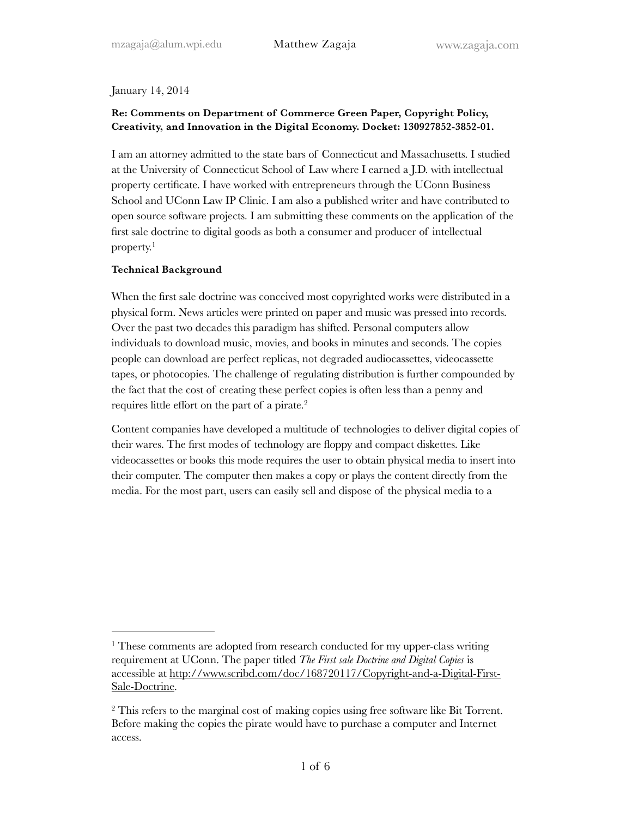### January 14, 2014

# **Re: Comments on Department of Commerce Green Paper, Copyright Policy, Creativity, and Innovation in the Digital Economy. Docket: 130927852-3852-01.**

I am an attorney admitted to the state bars of Connecticut and Massachusetts. I studied at the University of Connecticut School of Law where I earned a J.D. with intellectual property certificate. I have worked with entrepreneurs through the UConn Business School and UConn Law IP Clinic. I am also a published writer and have contributed to open source software projects. I am submitting these comments on the application of the first sale doctrine to digital goods as both a consumer and producer of intellectual property.<sup>1</sup>

### **Technical Background**

When the first sale doctrine was conceived most copyrighted works were distributed in a physical form. News articles were printed on paper and music was pressed into records. Over the past two decades this paradigm has shifted. Personal computers allow individuals to download music, movies, and books in minutes and seconds. The copies people can download are perfect replicas, not degraded audiocassettes, videocassette tapes, or photocopies. The challenge of regulating distribution is further compounded by the fact that the cost of creating these perfect copies is often less than a penny and requires little effort on the part of a pirate.2

Content companies have developed a multitude of technologies to deliver digital copies of their wares. The first modes of technology are floppy and compact diskettes. Like videocassettes or books this mode requires the user to obtain physical media to insert into their computer. The computer then makes a copy or plays the content directly from the media. For the most part, users can easily sell and dispose of the physical media to a

<sup>&</sup>lt;sup>1</sup> These comments are adopted from research conducted for my upper-class writing requirement at UConn. The paper titled *The First sale Doctrine and Digital Copies* is [accessible at http://www.scribd.com/doc/168720117/Copyright-and-a-Digital-First-](http://www.scribd.com/doc/168720117/Copyright-and-a-Digital-First-Sale-Doctrine)Sale-Doctrine.

<sup>&</sup>lt;sup>2</sup> This refers to the marginal cost of making copies using free software like Bit Torrent. Before making the copies the pirate would have to purchase a computer and Internet access.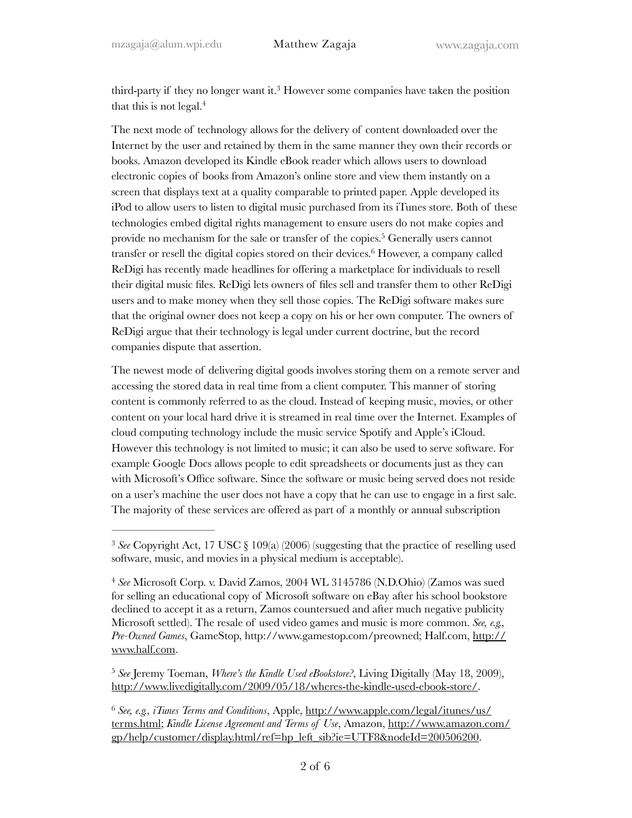third-party if they no longer want it.<sup>3</sup> However some companies have taken the position that this is not legal.<sup>4</sup>

The next mode of technology allows for the delivery of content downloaded over the Internet by the user and retained by them in the same manner they own their records or books. Amazon developed its Kindle eBook reader which allows users to download electronic copies of books from Amazon's online store and view them instantly on a screen that displays text at a quality comparable to printed paper. Apple developed its iPod to allow users to listen to digital music purchased from its iTunes store. Both of these technologies embed digital rights management to ensure users do not make copies and provide no mechanism for the sale or transfer of the copies.<sup>5</sup> Generally users cannot transfer or resell the digital copies stored on their devices.<sup>6</sup> However, a company called ReDigi has recently made headlines for offering a marketplace for individuals to resell their digital music files. ReDigi lets owners of files sell and transfer them to other ReDigi users and to make money when they sell those copies. The ReDigi software makes sure that the original owner does not keep a copy on his or her own computer. The owners of ReDigi argue that their technology is legal under current doctrine, but the record companies dispute that assertion.

The newest mode of delivering digital goods involves storing them on a remote server and accessing the stored data in real time from a client computer. This manner of storing content is commonly referred to as the cloud. Instead of keeping music, movies, or other content on your local hard drive it is streamed in real time over the Internet. Examples of cloud computing technology include the music service Spotify and Apple's iCloud. However this technology is not limited to music; it can also be used to serve software. For example Google Docs allows people to edit spreadsheets or documents just as they can with Microsoft's Office software. Since the software or music being served does not reside on a user's machine the user does not have a copy that he can use to engage in a first sale. The majority of these services are offered as part of a monthly or annual subscription

<sup>&</sup>lt;sup>3</sup> See Copyright Act, 17 USC § 109(a) (2006) (suggesting that the practice of reselling used software, music, and movies in a physical medium is acceptable).

*See* Microsoft Corp. v. David Zamos, 2004 WL 3145786 (N.D.Ohio) (Zamos was sued 4 for selling an educational copy of Microsoft software on eBay after his school bookstore declined to accept it as a return, Zamos countersued and after much negative publicity Microsoft settled). The resale of used video games and music is more common. *See, e.g., Pre-Owned Games*, GameStop, http://www.gamestop.com/preowned; Half.com, http:// www.half.com.

<sup>&</sup>lt;sup>5</sup> See Jeremy Toeman, *Where's the Kindle Used eBookstore?*, Living Digitally (May 18, 2009), http://www.livedigitally.com/2009/05/18/wheres-the-kindle-used-ebook-store/.

*See, e.g., iTunes Terms and Conditions*, Apple, http://www.apple.com/legal/itunes/us/ <sup>6</sup> terms.html; *Kindle License Agreement and Terms of Use*, Amazon, http://www.amazon.com/ gp/help/customer/display.html/ref=hp\_left\_sib?ie=UTF8&nodeId=200506200.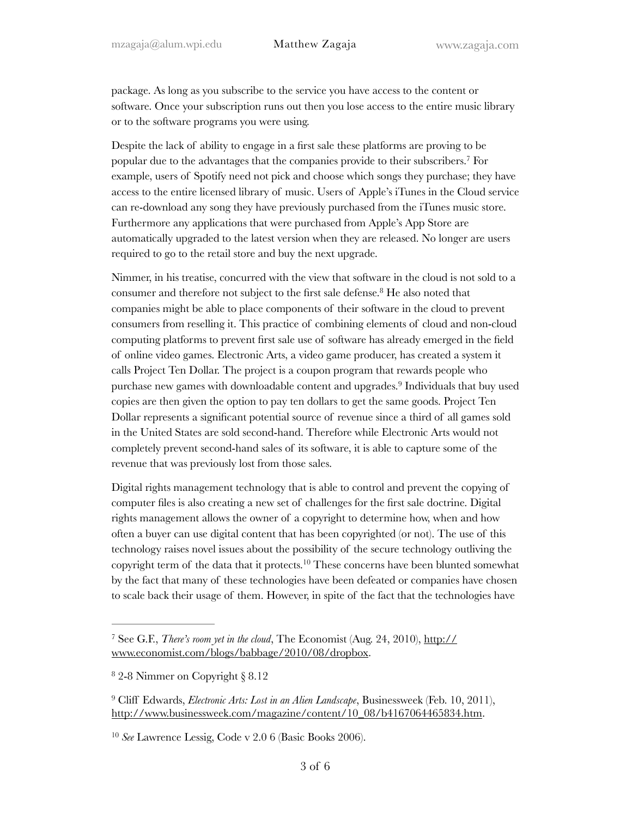package. As long as you subscribe to the service you have access to the content or software. Once your subscription runs out then you lose access to the entire music library or to the software programs you were using.

Despite the lack of ability to engage in a first sale these platforms are proving to be popular due to the advantages that the companies provide to their subscribers.<sup>7</sup> For example, users of Spotify need not pick and choose which songs they purchase; they have access to the entire licensed library of music. Users of Apple's iTunes in the Cloud service can re-download any song they have previously purchased from the iTunes music store. Furthermore any applications that were purchased from Apple's App Store are automatically upgraded to the latest version when they are released. No longer are users required to go to the retail store and buy the next upgrade.

Nimmer, in his treatise, concurred with the view that software in the cloud is not sold to a consumer and therefore not subject to the first sale defense.<sup>8</sup> He also noted that companies might be able to place components of their software in the cloud to prevent consumers from reselling it. This practice of combining elements of cloud and non-cloud computing platforms to prevent first sale use of software has already emerged in the field of online video games. Electronic Arts, a video game producer, has created a system it calls Project Ten Dollar. The project is a coupon program that rewards people who purchase new games with downloadable content and upgrades.<sup>9</sup> Individuals that buy used copies are then given the option to pay ten dollars to get the same goods. Project Ten Dollar represents a significant potential source of revenue since a third of all games sold in the United States are sold second-hand. Therefore while Electronic Arts would not completely prevent second-hand sales of its software, it is able to capture some of the revenue that was previously lost from those sales.

Digital rights management technology that is able to control and prevent the copying of computer files is also creating a new set of challenges for the first sale doctrine. Digital rights management allows the owner of a copyright to determine how, when and how often a buyer can use digital content that has been copyrighted (or not). The use of this technology raises novel issues about the possibility of the secure technology outliving the copyright term of the data that it protects.<sup>10</sup> These concerns have been blunted somewhat by the fact that many of these technologies have been defeated or companies have chosen to scale back their usage of them. However, in spite of the fact that the technologies have

<sup>&</sup>lt;sup>7</sup> See G.F., *There's room yet in the cloud*, The Economist (Aug. 24, 2010), http:// www.economist.com/blogs/babbage/2010/08/dropbox.

 $82-8$  Nimmer on Copyright § 8.12

<sup>&</sup>lt;sup>9</sup> Cliff Edwards, *Electronic Arts: Lost in an Alien Landscape*, Businessweek (Feb. 10, 2011), http://www.businessweek.com/magazine/content/10\_08/b4167064465834.htm.

<sup>&</sup>lt;sup>10</sup> See Lawrence Lessig, Code v 2.0 6 (Basic Books 2006).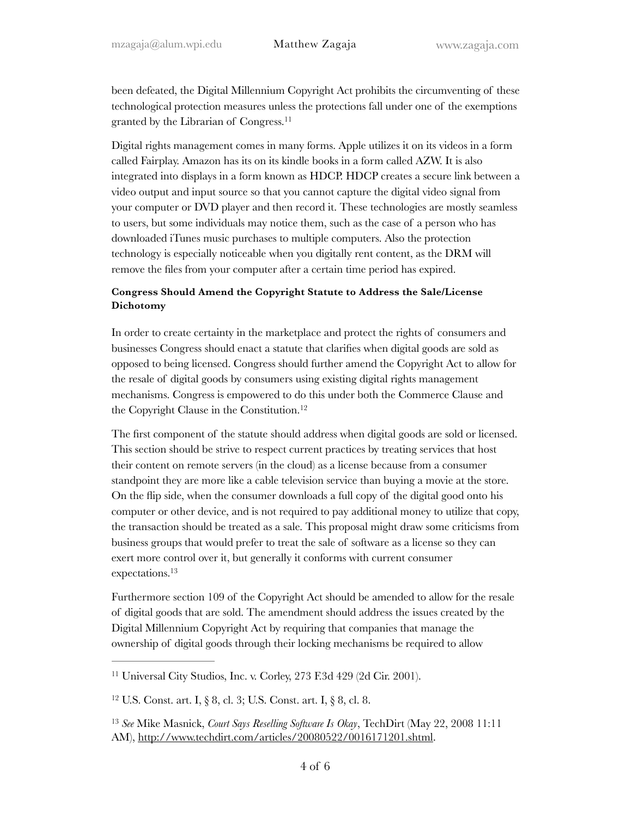been defeated, the Digital Millennium Copyright Act prohibits the circumventing of these technological protection measures unless the protections fall under one of the exemptions granted by the Librarian of Congress.<sup>11</sup>

Digital rights management comes in many forms. Apple utilizes it on its videos in a form called Fairplay. Amazon has its on its kindle books in a form called AZW. It is also integrated into displays in a form known as HDCP. HDCP creates a secure link between a video output and input source so that you cannot capture the digital video signal from your computer or DVD player and then record it. These technologies are mostly seamless to users, but some individuals may notice them, such as the case of a person who has downloaded iTunes music purchases to multiple computers. Also the protection technology is especially noticeable when you digitally rent content, as the DRM will remove the files from your computer after a certain time period has expired.

## **Congress Should Amend the Copyright Statute to Address the Sale/License Dichotomy**

In order to create certainty in the marketplace and protect the rights of consumers and businesses Congress should enact a statute that clarifies when digital goods are sold as opposed to being licensed. Congress should further amend the Copyright Act to allow for the resale of digital goods by consumers using existing digital rights management mechanisms. Congress is empowered to do this under both the Commerce Clause and the Copyright Clause in the Constitution. 12

The first component of the statute should address when digital goods are sold or licensed. This section should be strive to respect current practices by treating services that host their content on remote servers (in the cloud) as a license because from a consumer standpoint they are more like a cable television service than buying a movie at the store. On the flip side, when the consumer downloads a full copy of the digital good onto his computer or other device, and is not required to pay additional money to utilize that copy, the transaction should be treated as a sale. This proposal might draw some criticisms from business groups that would prefer to treat the sale of software as a license so they can exert more control over it, but generally it conforms with current consumer expectations.13

Furthermore section 109 of the Copyright Act should be amended to allow for the resale of digital goods that are sold. The amendment should address the issues created by the Digital Millennium Copyright Act by requiring that companies that manage the ownership of digital goods through their locking mechanisms be required to allow

<sup>&</sup>lt;sup>11</sup> Universal City Studios, Inc. v. Corley, 273 F.3d 429 (2d Cir. 2001).

<sup>&</sup>lt;sup>12</sup> U.S. Const. art. I, § 8, cl. 3; U.S. Const. art. I, § 8, cl. 8.

<sup>&</sup>lt;sup>13</sup> See Mike Masnick, *Court Says Reselling Software Is Okay*, TechDirt (May 22, 2008 11:11 AM), http://www.techdirt.com/articles/20080522/0016171201.shtml.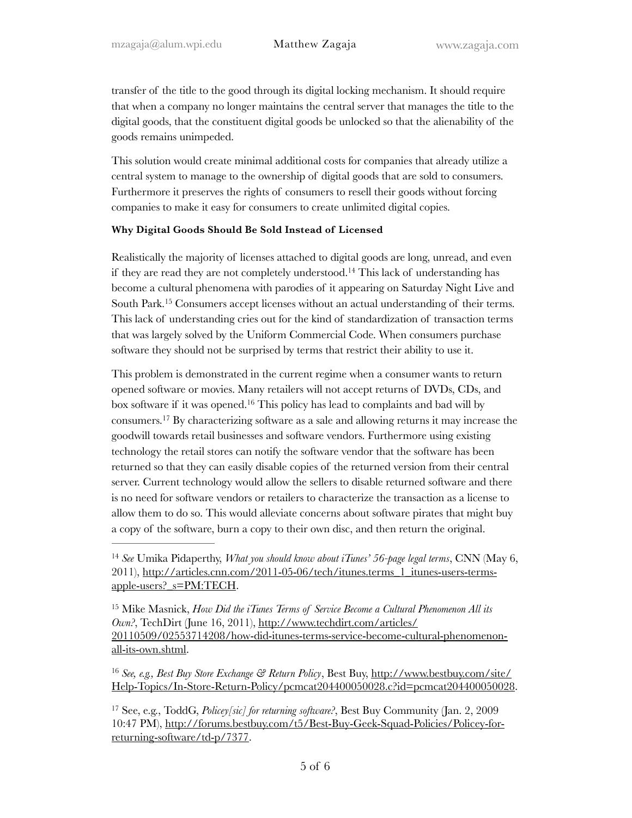transfer of the title to the good through its digital locking mechanism. It should require that when a company no longer maintains the central server that manages the title to the digital goods, that the constituent digital goods be unlocked so that the alienability of the goods remains unimpeded.

This solution would create minimal additional costs for companies that already utilize a central system to manage to the ownership of digital goods that are sold to consumers. Furthermore it preserves the rights of consumers to resell their goods without forcing companies to make it easy for consumers to create unlimited digital copies.

#### **Why Digital Goods Should Be Sold Instead of Licensed**

Realistically the majority of licenses attached to digital goods are long, unread, and even if they are read they are not completely understood.<sup>14</sup> This lack of understanding has become a cultural phenomena with parodies of it appearing on Saturday Night Live and South Park.<sup>15</sup> Consumers accept licenses without an actual understanding of their terms. This lack of understanding cries out for the kind of standardization of transaction terms that was largely solved by the Uniform Commercial Code. When consumers purchase software they should not be surprised by terms that restrict their ability to use it.

This problem is demonstrated in the current regime when a consumer wants to return opened software or movies. Many retailers will not accept returns of DVDs, CDs, and box software if it was opened.<sup>16</sup> This policy has lead to complaints and bad will by consumers.<sup>17</sup> By characterizing software as a sale and allowing returns it may increase the goodwill towards retail businesses and software vendors. Furthermore using existing technology the retail stores can notify the software vendor that the software has been returned so that they can easily disable copies of the returned version from their central server. Current technology would allow the sellers to disable returned software and there is no need for software vendors or retailers to characterize the transaction as a license to allow them to do so. This would alleviate concerns about software pirates that might buy a copy of the software, burn a copy to their own disc, and then return the original.

*See, e.g., Best Buy Store Exchange & Return Policy*, Best Buy, http://www.bestbuy.com/site/ <sup>16</sup> Help-Topics/In-Store-Return-Policy/pcmcat204400050028.c?id=pcmcat204400050028.

<sup>&</sup>lt;sup>14</sup> See Umika Pidaperthy, *What you should know about iTunes'* 56-page legal terms, CNN (May 6, 2011), http://articles.cnn.com/2011-05-06/tech/itunes.terms\_1\_itunes-users-termsapple-users?\_s=PM:TECH.

<sup>&</sup>lt;sup>15</sup> Mike Masnick, *How Did the iTunes Terms of Service Become a Cultural Phenomenon All its Own?*, TechDirt (June 16, 2011), http://www.techdirt.com/articles/ 20110509/02553714208/how-did-itunes-terms-service-become-cultural-phenomenonall-its-own.shtml.

<sup>&</sup>lt;sup>17</sup> See, e.g., ToddG, *Policey[sic] for returning software?*, Best Buy Community (Jan. 2, 2009 10:47 PM), http://forums.bestbuy.com/t5/Best-Buy-Geek-Squad-Policies/Policey-forreturning-software/td-p/7377.